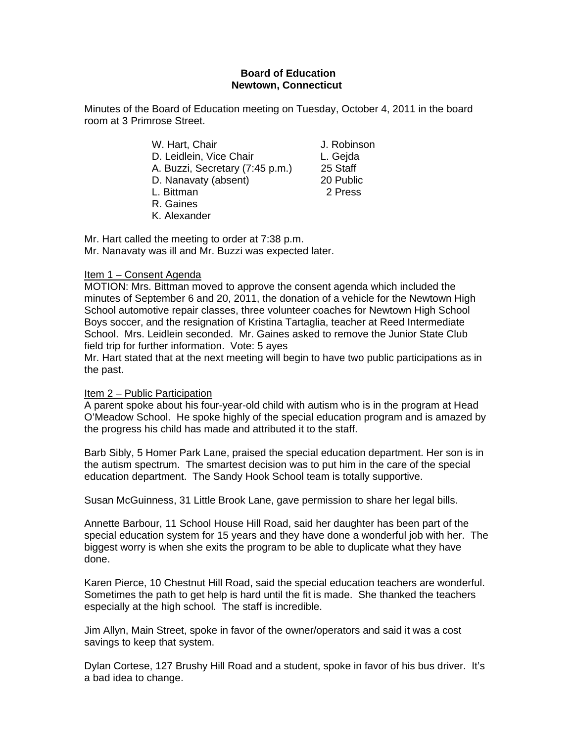# **Board of Education Newtown, Connecticut**

J. Robinson L. Gejda

20 Public 2 Press

Minutes of the Board of Education meeting on Tuesday, October 4, 2011 in the board room at 3 Primrose Street.

| W. Hart, Chair                  | J. Robins |
|---------------------------------|-----------|
| D. Leidlein, Vice Chair         | L. Gejda  |
| A. Buzzi, Secretary (7:45 p.m.) | 25 Staff  |
| D. Nanavaty (absent)            | 20 Publio |
| L. Bittman                      | 2 Press   |
| R. Gaines                       |           |

K. Alexander

Mr. Hart called the meeting to order at 7:38 p.m. Mr. Nanavaty was ill and Mr. Buzzi was expected later.

### Item 1 – Consent Agenda

MOTION: Mrs. Bittman moved to approve the consent agenda which included the minutes of September 6 and 20, 2011, the donation of a vehicle for the Newtown High School automotive repair classes, three volunteer coaches for Newtown High School Boys soccer, and the resignation of Kristina Tartaglia, teacher at Reed Intermediate School. Mrs. Leidlein seconded. Mr. Gaines asked to remove the Junior State Club field trip for further information. Vote: 5 ayes

Mr. Hart stated that at the next meeting will begin to have two public participations as in the past.

### Item 2 – Public Participation

A parent spoke about his four-year-old child with autism who is in the program at Head O'Meadow School. He spoke highly of the special education program and is amazed by the progress his child has made and attributed it to the staff.

Barb Sibly, 5 Homer Park Lane, praised the special education department. Her son is in the autism spectrum. The smartest decision was to put him in the care of the special education department. The Sandy Hook School team is totally supportive.

Susan McGuinness, 31 Little Brook Lane, gave permission to share her legal bills.

Annette Barbour, 11 School House Hill Road, said her daughter has been part of the special education system for 15 years and they have done a wonderful job with her. The biggest worry is when she exits the program to be able to duplicate what they have done.

Karen Pierce, 10 Chestnut Hill Road, said the special education teachers are wonderful. Sometimes the path to get help is hard until the fit is made. She thanked the teachers especially at the high school. The staff is incredible.

Jim Allyn, Main Street, spoke in favor of the owner/operators and said it was a cost savings to keep that system.

Dylan Cortese, 127 Brushy Hill Road and a student, spoke in favor of his bus driver. It's a bad idea to change.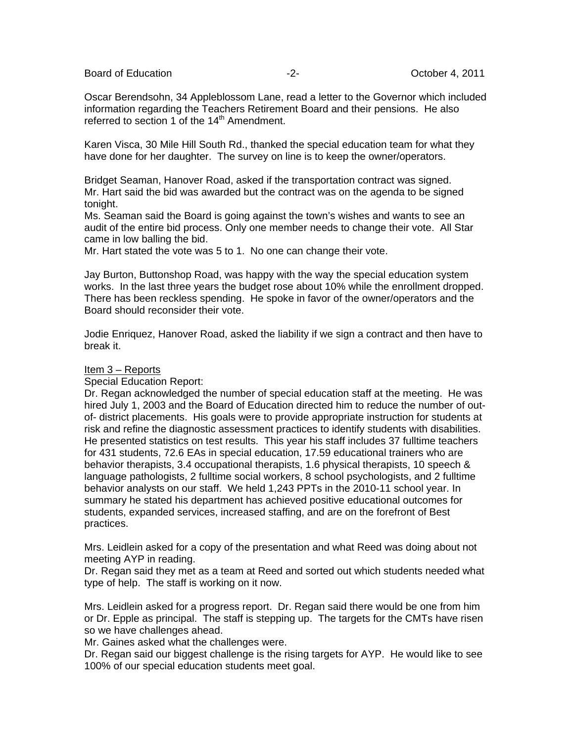Board of Education **-2-** All the setting of Education of Education and the setting of the setting of the setting of the setting of the setting of the setting of the setting of the setting of the setting of the setting of t

Oscar Berendsohn, 34 Appleblossom Lane, read a letter to the Governor which included information regarding the Teachers Retirement Board and their pensions. He also referred to section 1 of the 14<sup>th</sup> Amendment.

Karen Visca, 30 Mile Hill South Rd., thanked the special education team for what they have done for her daughter. The survey on line is to keep the owner/operators.

Bridget Seaman, Hanover Road, asked if the transportation contract was signed. Mr. Hart said the bid was awarded but the contract was on the agenda to be signed tonight.

Ms. Seaman said the Board is going against the town's wishes and wants to see an audit of the entire bid process. Only one member needs to change their vote. All Star came in low balling the bid.

Mr. Hart stated the vote was 5 to 1. No one can change their vote.

Jay Burton, Buttonshop Road, was happy with the way the special education system works. In the last three years the budget rose about 10% while the enrollment dropped. There has been reckless spending. He spoke in favor of the owner/operators and the Board should reconsider their vote.

Jodie Enriquez, Hanover Road, asked the liability if we sign a contract and then have to break it.

#### Item 3 – Reports

Special Education Report:

Dr. Regan acknowledged the number of special education staff at the meeting. He was hired July 1, 2003 and the Board of Education directed him to reduce the number of outof- district placements. His goals were to provide appropriate instruction for students at risk and refine the diagnostic assessment practices to identify students with disabilities. He presented statistics on test results. This year his staff includes 37 fulltime teachers for 431 students, 72.6 EAs in special education, 17.59 educational trainers who are behavior therapists, 3.4 occupational therapists, 1.6 physical therapists, 10 speech & language pathologists, 2 fulltime social workers, 8 school psychologists, and 2 fulltime behavior analysts on our staff. We held 1,243 PPTs in the 2010-11 school year. In summary he stated his department has achieved positive educational outcomes for students, expanded services, increased staffing, and are on the forefront of Best practices.

Mrs. Leidlein asked for a copy of the presentation and what Reed was doing about not meeting AYP in reading.

Dr. Regan said they met as a team at Reed and sorted out which students needed what type of help. The staff is working on it now.

Mrs. Leidlein asked for a progress report. Dr. Regan said there would be one from him or Dr. Epple as principal. The staff is stepping up. The targets for the CMTs have risen so we have challenges ahead.

Mr. Gaines asked what the challenges were.

Dr. Regan said our biggest challenge is the rising targets for AYP. He would like to see 100% of our special education students meet goal.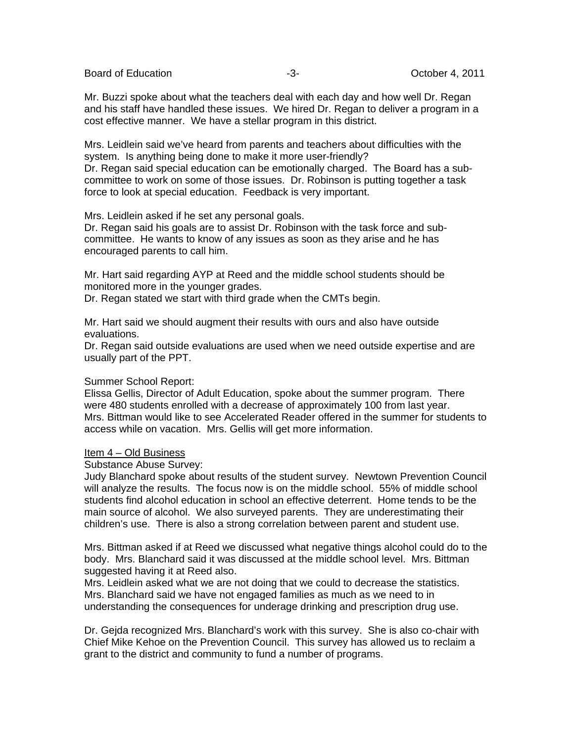Board of Education **-3-** Alternative Community Corporation of Education and Table 1, 2011

Mr. Buzzi spoke about what the teachers deal with each day and how well Dr. Regan and his staff have handled these issues. We hired Dr. Regan to deliver a program in a cost effective manner. We have a stellar program in this district.

Mrs. Leidlein said we've heard from parents and teachers about difficulties with the system. Is anything being done to make it more user-friendly? Dr. Regan said special education can be emotionally charged. The Board has a subcommittee to work on some of those issues. Dr. Robinson is putting together a task force to look at special education. Feedback is very important.

Mrs. Leidlein asked if he set any personal goals.

Dr. Regan said his goals are to assist Dr. Robinson with the task force and subcommittee. He wants to know of any issues as soon as they arise and he has encouraged parents to call him.

Mr. Hart said regarding AYP at Reed and the middle school students should be monitored more in the younger grades.

Dr. Regan stated we start with third grade when the CMTs begin.

Mr. Hart said we should augment their results with ours and also have outside evaluations.

Dr. Regan said outside evaluations are used when we need outside expertise and are usually part of the PPT.

### Summer School Report:

Elissa Gellis, Director of Adult Education, spoke about the summer program. There were 480 students enrolled with a decrease of approximately 100 from last year. Mrs. Bittman would like to see Accelerated Reader offered in the summer for students to access while on vacation. Mrs. Gellis will get more information.

### Item 4 – Old Business

### Substance Abuse Survey:

Judy Blanchard spoke about results of the student survey. Newtown Prevention Council will analyze the results. The focus now is on the middle school. 55% of middle school students find alcohol education in school an effective deterrent. Home tends to be the main source of alcohol. We also surveyed parents. They are underestimating their children's use. There is also a strong correlation between parent and student use.

Mrs. Bittman asked if at Reed we discussed what negative things alcohol could do to the body. Mrs. Blanchard said it was discussed at the middle school level. Mrs. Bittman suggested having it at Reed also.

Mrs. Leidlein asked what we are not doing that we could to decrease the statistics. Mrs. Blanchard said we have not engaged families as much as we need to in understanding the consequences for underage drinking and prescription drug use.

Dr. Gejda recognized Mrs. Blanchard's work with this survey. She is also co-chair with Chief Mike Kehoe on the Prevention Council. This survey has allowed us to reclaim a grant to the district and community to fund a number of programs.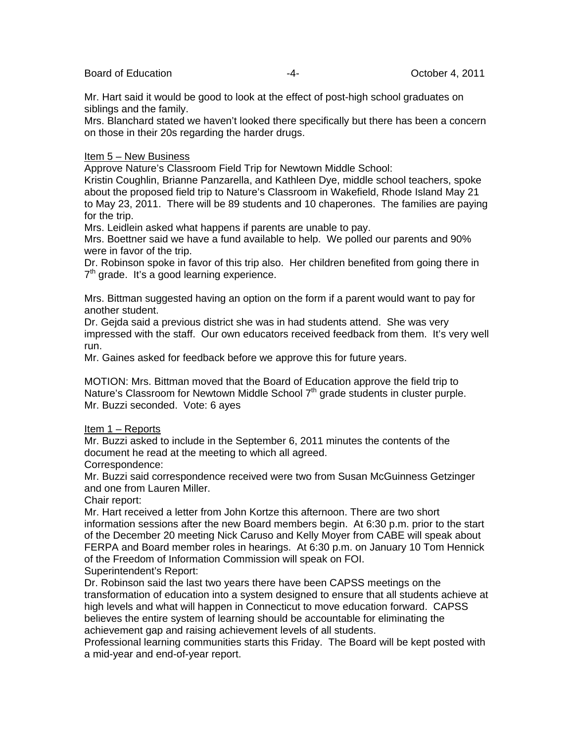Board of Education  $\overline{4}$ -  $\overline{4}$ -  $\overline{4}$  October 4, 2011

Mr. Hart said it would be good to look at the effect of post-high school graduates on siblings and the family.

Mrs. Blanchard stated we haven't looked there specifically but there has been a concern on those in their 20s regarding the harder drugs.

# Item 5 – New Business

Approve Nature's Classroom Field Trip for Newtown Middle School:

Kristin Coughlin, Brianne Panzarella, and Kathleen Dye, middle school teachers, spoke about the proposed field trip to Nature's Classroom in Wakefield, Rhode Island May 21 to May 23, 2011. There will be 89 students and 10 chaperones. The families are paying for the trip.

Mrs. Leidlein asked what happens if parents are unable to pay.

Mrs. Boettner said we have a fund available to help. We polled our parents and 90% were in favor of the trip.

Dr. Robinson spoke in favor of this trip also. Her children benefited from going there in  $7<sup>th</sup>$  grade. It's a good learning experience.

Mrs. Bittman suggested having an option on the form if a parent would want to pay for another student.

Dr. Gejda said a previous district she was in had students attend. She was very impressed with the staff. Our own educators received feedback from them. It's very well run.

Mr. Gaines asked for feedback before we approve this for future years.

MOTION: Mrs. Bittman moved that the Board of Education approve the field trip to Nature's Classroom for Newtown Middle School  $7<sup>th</sup>$  grade students in cluster purple. Mr. Buzzi seconded. Vote: 6 ayes

# Item 1 – Reports

Mr. Buzzi asked to include in the September 6, 2011 minutes the contents of the document he read at the meeting to which all agreed.

Correspondence:

Mr. Buzzi said correspondence received were two from Susan McGuinness Getzinger and one from Lauren Miller.

Chair report:

Mr. Hart received a letter from John Kortze this afternoon. There are two short information sessions after the new Board members begin. At 6:30 p.m. prior to the start of the December 20 meeting Nick Caruso and Kelly Moyer from CABE will speak about FERPA and Board member roles in hearings. At 6:30 p.m. on January 10 Tom Hennick of the Freedom of Information Commission will speak on FOI. Superintendent's Report:

Dr. Robinson said the last two years there have been CAPSS meetings on the transformation of education into a system designed to ensure that all students achieve at high levels and what will happen in Connecticut to move education forward. CAPSS believes the entire system of learning should be accountable for eliminating the achievement gap and raising achievement levels of all students.

Professional learning communities starts this Friday. The Board will be kept posted with a mid-year and end-of-year report.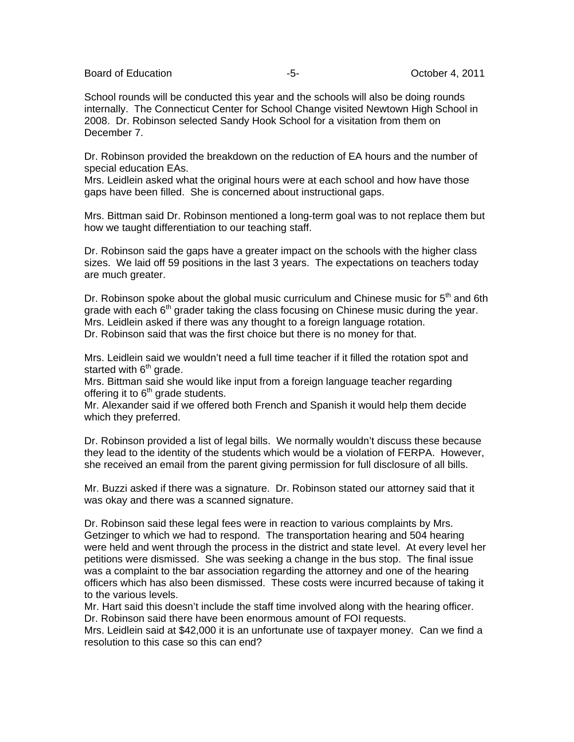Board of Education **-5-** All the setting of Education of Education and the setting of the setting of the setting of the setting of the setting of the setting of the setting of the setting of the setting of the setting of t

School rounds will be conducted this year and the schools will also be doing rounds internally. The Connecticut Center for School Change visited Newtown High School in 2008. Dr. Robinson selected Sandy Hook School for a visitation from them on December 7.

Dr. Robinson provided the breakdown on the reduction of EA hours and the number of special education EAs.

Mrs. Leidlein asked what the original hours were at each school and how have those gaps have been filled. She is concerned about instructional gaps.

Mrs. Bittman said Dr. Robinson mentioned a long-term goal was to not replace them but how we taught differentiation to our teaching staff.

Dr. Robinson said the gaps have a greater impact on the schools with the higher class sizes. We laid off 59 positions in the last 3 years. The expectations on teachers today are much greater.

Dr. Robinson spoke about the global music curriculum and Chinese music for  $5<sup>th</sup>$  and 6th grade with each  $6<sup>th</sup>$  grader taking the class focusing on Chinese music during the year. Mrs. Leidlein asked if there was any thought to a foreign language rotation. Dr. Robinson said that was the first choice but there is no money for that.

Mrs. Leidlein said we wouldn't need a full time teacher if it filled the rotation spot and started with  $6<sup>th</sup>$  grade.

Mrs. Bittman said she would like input from a foreign language teacher regarding offering it to  $6<sup>th</sup>$  grade students.

Mr. Alexander said if we offered both French and Spanish it would help them decide which they preferred.

Dr. Robinson provided a list of legal bills. We normally wouldn't discuss these because they lead to the identity of the students which would be a violation of FERPA. However, she received an email from the parent giving permission for full disclosure of all bills.

Mr. Buzzi asked if there was a signature. Dr. Robinson stated our attorney said that it was okay and there was a scanned signature.

Dr. Robinson said these legal fees were in reaction to various complaints by Mrs. Getzinger to which we had to respond. The transportation hearing and 504 hearing were held and went through the process in the district and state level. At every level her petitions were dismissed. She was seeking a change in the bus stop. The final issue was a complaint to the bar association regarding the attorney and one of the hearing officers which has also been dismissed. These costs were incurred because of taking it to the various levels.

Mr. Hart said this doesn't include the staff time involved along with the hearing officer. Dr. Robinson said there have been enormous amount of FOI requests.

Mrs. Leidlein said at \$42,000 it is an unfortunate use of taxpayer money. Can we find a resolution to this case so this can end?